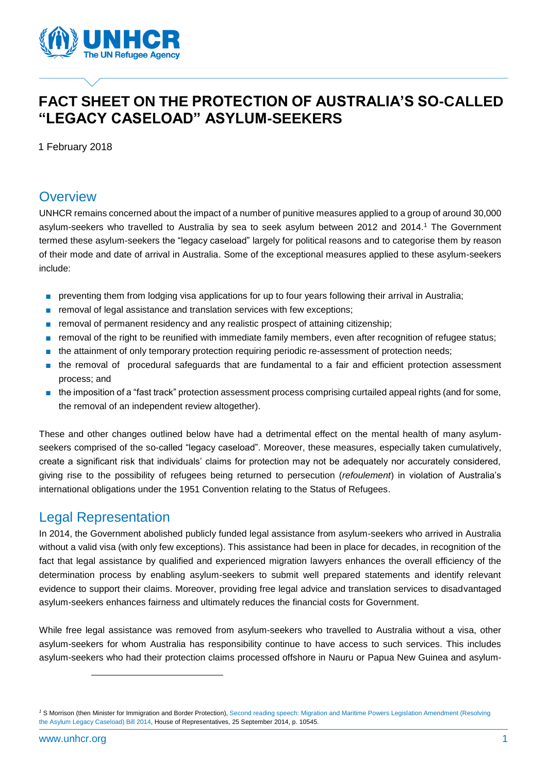

# **FACT SHEET ON THE PROTECTION OF AUSTRALIA'S SO-CALLED "LEGACY CASELOAD" ASYLUM-SEEKERS**

1 February 2018

### **Overview**

UNHCR remains concerned about the impact of a number of punitive measures applied to a group of around 30,000 asylum-seekers who travelled to Australia by sea to seek asylum between 2012 and 2014. <sup>1</sup> The Government termed these asylum-seekers the "legacy caseload" largely for political reasons and to categorise them by reason of their mode and date of arrival in Australia. Some of the exceptional measures applied to these asylum-seekers include:

- preventing them from lodging visa applications for up to four years following their arrival in Australia;
- removal of legal assistance and translation services with few exceptions;
- removal of permanent residency and any realistic prospect of attaining citizenship;
- removal of the right to be reunified with immediate family members, even after recognition of refugee status;
- the attainment of only temporary protection requiring periodic re-assessment of protection needs;
- the removal of procedural safeguards that are fundamental to a fair and efficient protection assessment process; and
- the imposition of a "fast track" protection assessment process comprising curtailed appeal rights (and for some, the removal of an independent review altogether).

These and other changes outlined below have had a detrimental effect on the mental health of many asylumseekers comprised of the so-called "legacy caseload". Moreover, these measures, especially taken cumulatively, create a significant risk that individuals' claims for protection may not be adequately nor accurately considered, giving rise to the possibility of refugees being returned to persecution (*refoulement*) in violation of Australia's international obligations under the 1951 Convention relating to the Status of Refugees.

### Legal Representation

In 2014, the Government abolished publicly funded legal assistance from asylum-seekers who arrived in Australia without a valid visa (with only few exceptions). This assistance had been in place for decades, in recognition of the fact that legal assistance by qualified and experienced migration lawyers enhances the overall efficiency of the determination process by enabling asylum-seekers to submit well prepared statements and identify relevant evidence to support their claims. Moreover, providing free legal advice and translation services to disadvantaged asylum-seekers enhances fairness and ultimately reduces the financial costs for Government.

While free legal assistance was removed from asylum-seekers who travelled to Australia without a visa, other asylum-seekers for whom Australia has responsibility continue to have access to such services. This includes asylum-seekers who had their protection claims processed offshore in Nauru or Papua New Guinea and asylum-

 $\overline{a}$ 

*<sup>1</sup>* S Morrison (then Minister for Immigration and Border Protection), Second reading speech: [Migration and Maritime Powers Legislation Amendment \(Resolving](http://parlinfo.aph.gov.au/parlInfo/search/display/display.w3p;query=Id%3A%22chamber%2Fhansardr%2Fa526371b-b2dd-4037-ba7a-649c0c3fb696%2F0021%22)  [the Asylum Legacy Caseload\) Bill 2014,](http://parlinfo.aph.gov.au/parlInfo/search/display/display.w3p;query=Id%3A%22chamber%2Fhansardr%2Fa526371b-b2dd-4037-ba7a-649c0c3fb696%2F0021%22) House of Representatives, 25 September 2014, p. 10545.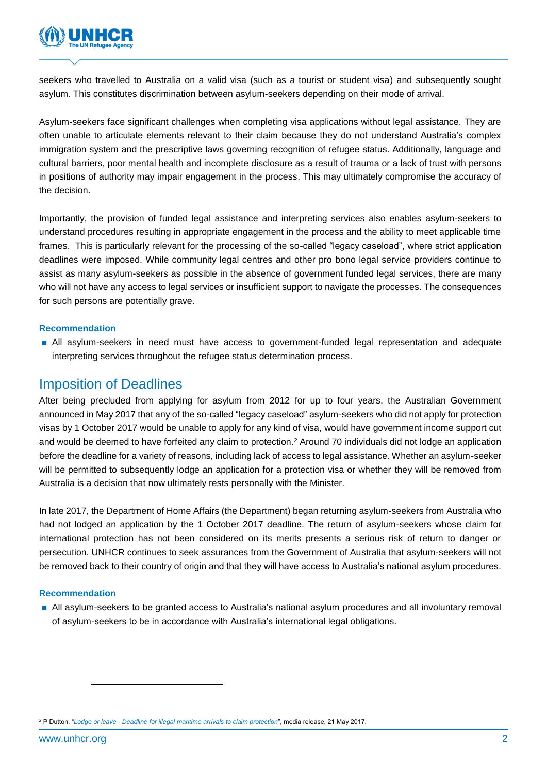

seekers who travelled to Australia on a valid visa (such as a tourist or student visa) and subsequently sought asylum. This constitutes discrimination between asylum-seekers depending on their mode of arrival.

Asylum-seekers face significant challenges when completing visa applications without legal assistance. They are often unable to articulate elements relevant to their claim because they do not understand Australia's complex immigration system and the prescriptive laws governing recognition of refugee status. Additionally, language and cultural barriers, poor mental health and incomplete disclosure as a result of trauma or a lack of trust with persons in positions of authority may impair engagement in the process. This may ultimately compromise the accuracy of the decision.

Importantly, the provision of funded legal assistance and interpreting services also enables asylum-seekers to understand procedures resulting in appropriate engagement in the process and the ability to meet applicable time frames. This is particularly relevant for the processing of the so-called "legacy caseload", where strict application deadlines were imposed. While community legal centres and other pro bono legal service providers continue to assist as many asylum-seekers as possible in the absence of government funded legal services, there are many who will not have any access to legal services or insufficient support to navigate the processes. The consequences for such persons are potentially grave.

#### **Recommendation**

■ All asylum-seekers in need must have access to government-funded legal representation and adequate interpreting services throughout the refugee status determination process.

### Imposition of Deadlines

After being precluded from applying for asylum from 2012 for up to four years, the Australian Government announced in May 2017 that any of the so-called "legacy caseload" asylum-seekers who did not apply for protection visas by 1 October 2017 would be unable to apply for any kind of visa, would have government income support cut and would be deemed to have forfeited any claim to protection. <sup>2</sup> Around 70 individuals did not lodge an application before the deadline for a variety of reasons, including lack of access to legal assistance. Whether an asylum-seeker will be permitted to subsequently lodge an application for a protection visa or whether they will be removed from Australia is a decision that now ultimately rests personally with the Minister.

In late 2017, the Department of Home Affairs (the Department) began returning asylum-seekers from Australia who had not lodged an application by the 1 October 2017 deadline. The return of asylum-seekers whose claim for international protection has not been considered on its merits presents a serious risk of return to danger or persecution. UNHCR continues to seek assurances from the Government of Australia that asylum-seekers will not be removed back to their country of origin and that they will have access to Australia's national asylum procedures.

#### **Recommendation**

■ All asylum-seekers to be granted access to Australia's national asylum procedures and all involuntary removal of asylum-seekers to be in accordance with Australia's international legal obligations.

*<sup>2</sup>* P Dutton, "*Lodge or leave - [Deadline for illegal maritime arrivals to claim protection](http://minister.homeaffairs.gov.au/peterdutton/2017/Pages/deadline-for-illegal-maritime-arrivals-to-claim-protection.aspx)*", media release, 21 May 2017.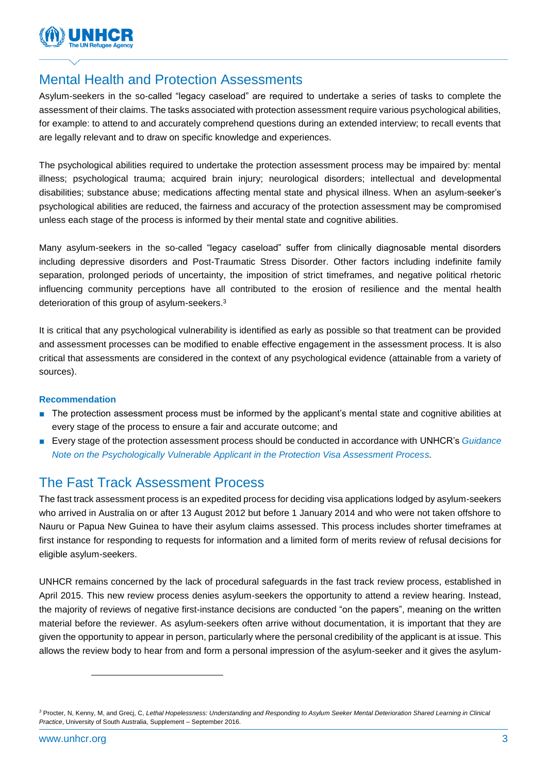

### Mental Health and Protection Assessments

Asylum-seekers in the so-called "legacy caseload" are required to undertake a series of tasks to complete the assessment of their claims. The tasks associated with protection assessment require various psychological abilities, for example: to attend to and accurately comprehend questions during an extended interview; to recall events that are legally relevant and to draw on specific knowledge and experiences.

The psychological abilities required to undertake the protection assessment process may be impaired by: mental illness; psychological trauma; acquired brain injury; neurological disorders; intellectual and developmental disabilities; substance abuse; medications affecting mental state and physical illness. When an asylum-seeker's psychological abilities are reduced, the fairness and accuracy of the protection assessment may be compromised unless each stage of the process is informed by their mental state and cognitive abilities.

Many asylum-seekers in the so-called "legacy caseload" suffer from clinically diagnosable mental disorders including depressive disorders and Post-Traumatic Stress Disorder. Other factors including indefinite family separation, prolonged periods of uncertainty, the imposition of strict timeframes, and negative political rhetoric influencing community perceptions have all contributed to the erosion of resilience and the mental health deterioration of this group of asylum-seekers.<sup>3</sup>

It is critical that any psychological vulnerability is identified as early as possible so that treatment can be provided and assessment processes can be modified to enable effective engagement in the assessment process. It is also critical that assessments are considered in the context of any psychological evidence (attainable from a variety of sources).

#### **Recommendation**

- The protection assessment process must be informed by the applicant's mental state and cognitive abilities at every stage of the process to ensure a fair and accurate outcome; and
- Every stage of the protection assessment process should be conducted in accordance with UNHCR's *Guidance [Note on the Psychologically Vulnerable Applicant in the Protection Visa Assessment Process.](http://www.unhcr.org/en-au/5a127e907/guidance-note-on-the-psychologically-vulnerable-applicant-in-the-protection)*

## The Fast Track Assessment Process

The fast track assessment process is an expedited process for deciding visa applications lodged by asylum-seekers who arrived in Australia on or after 13 August 2012 but before 1 January 2014 and who were not taken offshore to Nauru or Papua New Guinea to have their asylum claims assessed. This process includes shorter timeframes at first instance for responding to requests for information and a limited form of merits review of refusal decisions for eligible asylum-seekers.

UNHCR remains concerned by the lack of procedural safeguards in the fast track review process, established in April 2015. This new review process denies asylum-seekers the opportunity to attend a review hearing. Instead, the majority of reviews of negative first-instance decisions are conducted "on the papers", meaning on the written material before the reviewer. As asylum-seekers often arrive without documentation, it is important that they are given the opportunity to appear in person, particularly where the personal credibility of the applicant is at issue. This allows the review body to hear from and form a personal impression of the asylum-seeker and it gives the asylum-

 $\overline{a}$ 

*<sup>3</sup>* Procter, N, Kenny, M, and Grecj, C, *Lethal Hopelessness: Understanding and Responding to Asylum Seeker Mental Deterioration Shared Learning in Clinical Practice*, University of South Australia, Supplement – September 2016.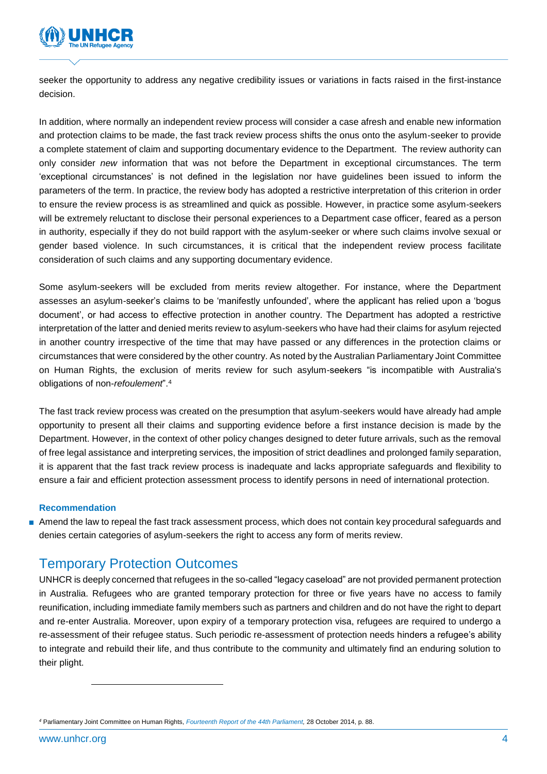

seeker the opportunity to address any negative credibility issues or variations in facts raised in the first-instance decision.

In addition, where normally an independent review process will consider a case afresh and enable new information and protection claims to be made, the fast track review process shifts the onus onto the asylum-seeker to provide a complete statement of claim and supporting documentary evidence to the Department. The review authority can only consider *new* information that was not before the Department in exceptional circumstances. The term 'exceptional circumstances' is not defined in the legislation nor have guidelines been issued to inform the parameters of the term. In practice, the review body has adopted a restrictive interpretation of this criterion in order to ensure the review process is as streamlined and quick as possible. However, in practice some asylum-seekers will be extremely reluctant to disclose their personal experiences to a Department case officer, feared as a person in authority, especially if they do not build rapport with the asylum-seeker or where such claims involve sexual or gender based violence. In such circumstances, it is critical that the independent review process facilitate consideration of such claims and any supporting documentary evidence.

Some asylum-seekers will be excluded from merits review altogether. For instance, where the Department assesses an asylum-seeker's claims to be 'manifestly unfounded', where the applicant has relied upon a 'bogus document', or had access to effective protection in another country. The Department has adopted a restrictive interpretation of the latter and denied merits review to asylum-seekers who have had their claims for asylum rejected in another country irrespective of the time that may have passed or any differences in the protection claims or circumstances that were considered by the other country. As noted by the Australian Parliamentary Joint Committee on Human Rights, the exclusion of merits review for such asylum-seekers "is incompatible with Australia's obligations of non-*refoulement*".<sup>4</sup>

The fast track review process was created on the presumption that asylum-seekers would have already had ample opportunity to present all their claims and supporting evidence before a first instance decision is made by the Department. However, in the context of other policy changes designed to deter future arrivals, such as the removal of free legal assistance and interpreting services, the imposition of strict deadlines and prolonged family separation, it is apparent that the fast track review process is inadequate and lacks appropriate safeguards and flexibility to ensure a fair and efficient protection assessment process to identify persons in need of international protection.

#### **Recommendation**

■ Amend the law to repeal the fast track assessment process, which does not contain key procedural safeguards and denies certain categories of asylum-seekers the right to access any form of merits review.

### Temporary Protection Outcomes

UNHCR is deeply concerned that refugees in the so-called "legacy caseload" are not provided permanent protection in Australia. Refugees who are granted temporary protection for three or five years have no access to family reunification, including immediate family members such as partners and children and do not have the right to depart and re-enter Australia. Moreover, upon expiry of a temporary protection visa, refugees are required to undergo a re-assessment of their refugee status. Such periodic re-assessment of protection needs hinders a refugee's ability to integrate and rebuild their life, and thus contribute to the community and ultimately find an enduring solution to their plight.

*<sup>4</sup>* Parliamentary Joint Committee on Human Rights, *[Fourteenth Report of the 44th Parliament,](https://www.aph.gov.au/Parliamentary_Business/Committees/Joint/Human_Rights/Scrutiny_reports/2014/Fourteenth_Report_of_the_44th_Paliament)* 28 October 2014, p. 88.